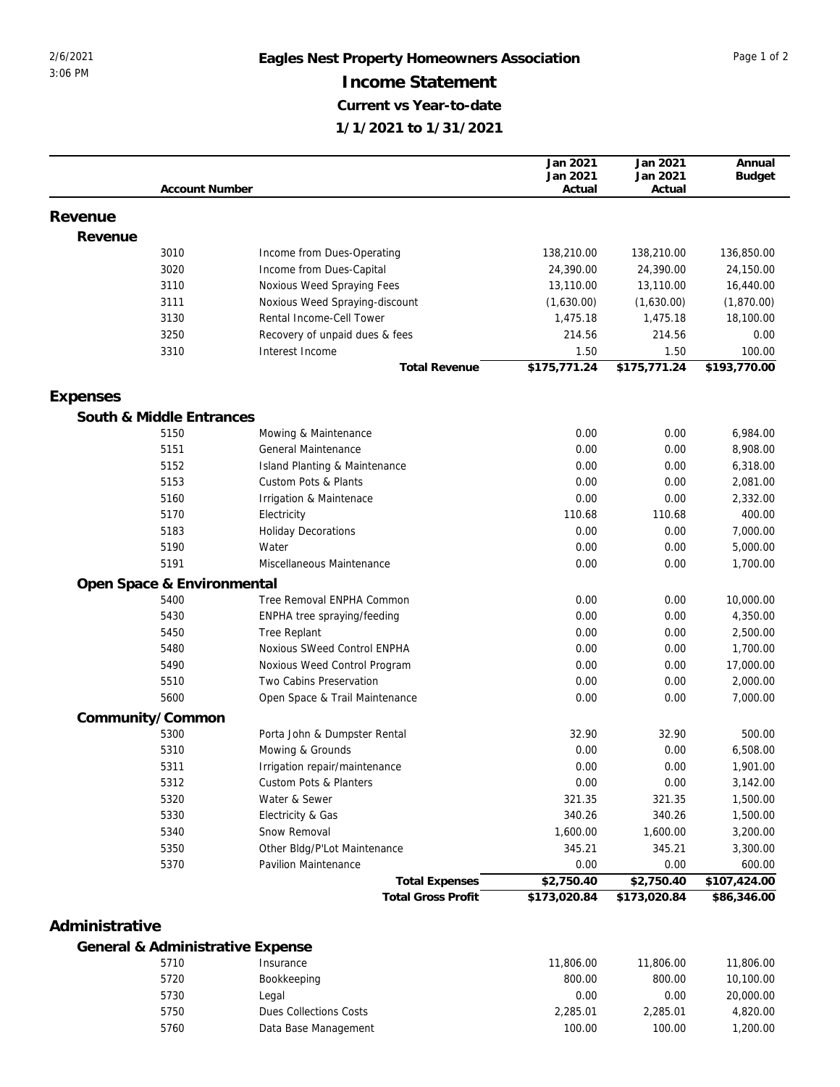## 2/6/2021 **Eagles Nest Property Homeowners Association** Page 1 of 2 **Income Statement Current vs Year-to-date 1/1/2021 to 1/31/2021**

|                  |                                  |                                |                           | Jan 2021<br>Jan 2021 | Jan 2021<br>Jan 2021 | Annual<br><b>Budget</b>     |
|------------------|----------------------------------|--------------------------------|---------------------------|----------------------|----------------------|-----------------------------|
|                  | <b>Account Number</b>            |                                |                           | Actual               | Actual               |                             |
|                  |                                  |                                |                           |                      |                      |                             |
| Revenue          |                                  |                                |                           |                      |                      |                             |
| Revenue          | 3010                             |                                |                           |                      |                      |                             |
|                  |                                  | Income from Dues-Operating     |                           | 138,210.00           | 138,210.00           | 136,850.00                  |
|                  | 3020                             | Income from Dues-Capital       |                           | 24,390.00            | 24,390.00            | 24,150.00                   |
|                  | 3110                             | Noxious Weed Spraying Fees     |                           | 13,110.00            | 13,110.00            | 16,440.00                   |
|                  | 3111                             | Noxious Weed Spraying-discount |                           | (1,630.00)           | (1,630.00)           | (1,870.00)                  |
|                  | 3130                             | Rental Income-Cell Tower       |                           | 1,475.18             | 1,475.18             | 18,100.00                   |
|                  | 3250                             | Recovery of unpaid dues & fees |                           | 214.56               | 214.56               | 0.00                        |
|                  | 3310                             | Interest Income                | <b>Total Revenue</b>      | 1.50<br>\$175,771.24 | 1.50<br>\$175,771.24 | 100.00<br>\$193,770.00      |
|                  |                                  |                                |                           |                      |                      |                             |
| Expenses         |                                  |                                |                           |                      |                      |                             |
|                  | South & Middle Entrances         |                                |                           |                      |                      |                             |
|                  | 5150                             | Mowing & Maintenance           |                           | 0.00                 | 0.00                 | 6,984.00                    |
|                  | 5151                             | <b>General Maintenance</b>     |                           | 0.00                 | 0.00                 | 8,908.00                    |
|                  | 5152                             | Island Planting & Maintenance  |                           | 0.00                 | 0.00                 | 6,318.00                    |
|                  | 5153                             | Custom Pots & Plants           |                           | 0.00                 | 0.00                 | 2,081.00                    |
|                  | 5160                             | Irrigation & Maintenace        |                           | 0.00                 | 0.00                 | 2,332.00                    |
|                  | 5170                             | Electricity                    |                           | 110.68               | 110.68               | 400.00                      |
|                  | 5183                             | <b>Holiday Decorations</b>     |                           | 0.00                 | 0.00                 | 7,000.00                    |
|                  | 5190                             | Water                          |                           | 0.00                 | 0.00                 | 5,000.00                    |
|                  | 5191                             | Miscellaneous Maintenance      |                           | 0.00                 | 0.00                 | 1,700.00                    |
|                  | Open Space & Environmental       |                                |                           |                      |                      |                             |
|                  | 5400                             | Tree Removal ENPHA Common      |                           | 0.00                 | 0.00                 | 10,000.00                   |
|                  | 5430                             | ENPHA tree spraying/feeding    |                           | 0.00                 | 0.00                 | 4,350.00                    |
|                  | 5450                             | <b>Tree Replant</b>            |                           | 0.00                 | 0.00                 | 2,500.00                    |
|                  | 5480                             | Noxious SWeed Control ENPHA    |                           | 0.00                 | 0.00                 | 1,700.00                    |
|                  | 5490                             | Noxious Weed Control Program   |                           | 0.00                 | 0.00                 | 17,000.00                   |
|                  | 5510                             | Two Cabins Preservation        |                           | 0.00                 | 0.00                 | 2,000.00                    |
|                  | 5600                             | Open Space & Trail Maintenance |                           | 0.00                 | 0.00                 | 7,000.00                    |
| Community/Common |                                  |                                |                           |                      |                      |                             |
|                  | 5300                             | Porta John & Dumpster Rental   |                           | 32.90                | 32.90                | 500.00                      |
|                  | 5310                             | Mowing & Grounds               |                           | 0.00                 | 0.00                 | 6,508.00                    |
|                  | 5311                             | Irrigation repair/maintenance  |                           | 0.00                 | 0.00                 | 1,901.00                    |
|                  | 5312                             | Custom Pots & Planters         |                           | 0.00                 | 0.00                 | 3,142.00                    |
|                  | 5320                             | Water & Sewer                  |                           | 321.35               | 321.35               | 1,500.00                    |
|                  | 5330                             | Electricity & Gas              |                           | 340.26               | 340.26               | 1,500.00                    |
|                  | 5340                             | Snow Removal                   |                           | 1,600.00             | 1,600.00             | 3,200.00                    |
|                  |                                  | Other Bldg/P'Lot Maintenance   |                           |                      |                      |                             |
|                  | 5350<br>5370                     | Pavilion Maintenance           |                           | 345.21<br>0.00       | 345.21<br>0.00       | 3,300.00<br>600.00          |
|                  |                                  |                                | <b>Total Expenses</b>     | \$2,750.40           | \$2,750.40           |                             |
|                  |                                  |                                | <b>Total Gross Profit</b> | \$173,020.84         | \$173,020.84         | \$107,424.00<br>\$86,346.00 |
|                  |                                  |                                |                           |                      |                      |                             |
| Administrative   |                                  |                                |                           |                      |                      |                             |
|                  | General & Administrative Expense |                                |                           |                      |                      |                             |
|                  | 5710                             | Insurance                      |                           | 11.806.00            | 11.806.00            | 11.806.00                   |

| 5710 | Insurance              | 11,806.00 | 11,806.00 | 11,806.00 |
|------|------------------------|-----------|-----------|-----------|
| 5720 | Bookkeeping            | 800.00    | 800.00    | 10,100.00 |
| 5730 | Legal                  | 0.00      | 0.00      | 20,000.00 |
| 5750 | Dues Collections Costs | 2.285.01  | 2.285.01  | 4,820,00  |
| 5760 | Data Base Management   | 100.00    | 100.00    | .200.00   |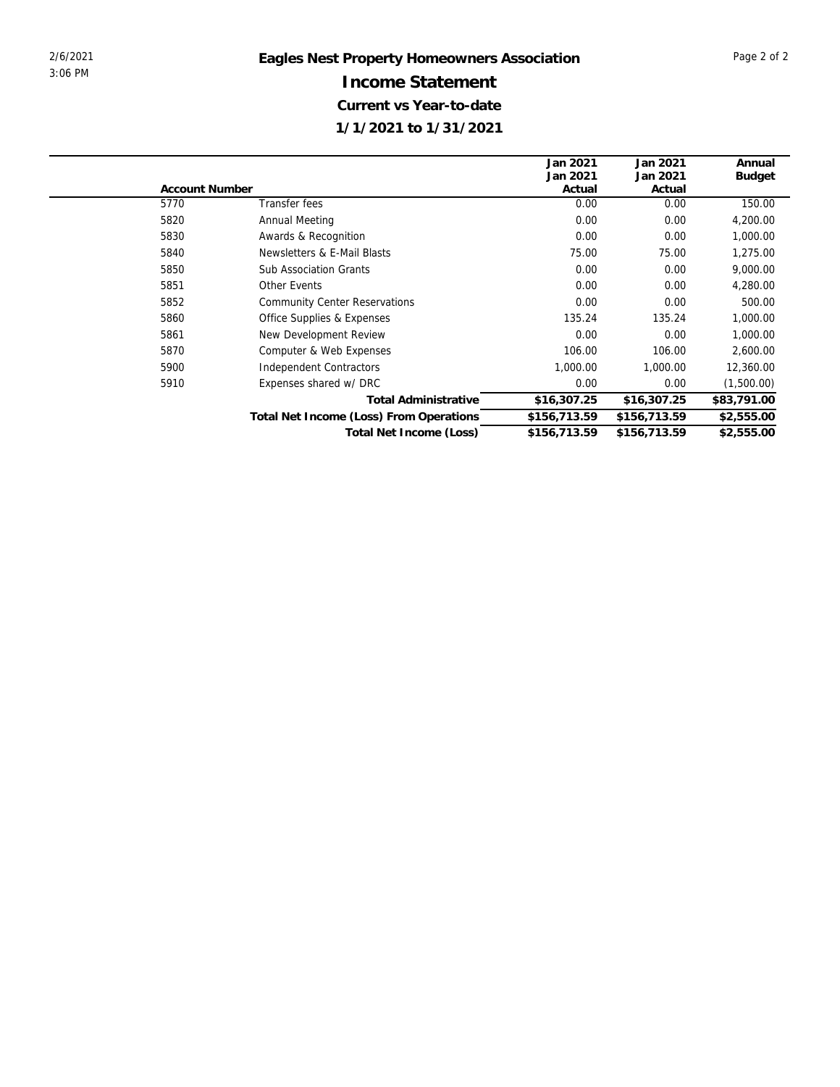|                |                                         | Jan 2021     | Jan 2021     | Annual        |
|----------------|-----------------------------------------|--------------|--------------|---------------|
|                |                                         | Jan 2021     | Jan 2021     | <b>Budget</b> |
| Account Number |                                         | Actual       | Actual       |               |
| 5770           | Transfer fees                           | 0.00         | 0.00         | 150.00        |
| 5820           | Annual Meeting                          | 0.00         | 0.00         | 4,200.00      |
| 5830           | Awards & Recognition                    | 0.00         | 0.00         | 1,000.00      |
| 5840           | Newsletters & E-Mail Blasts             | 75.00        | 75.00        | 1,275.00      |
| 5850           | <b>Sub Association Grants</b>           | 0.00         | 0.00         | 9,000.00      |
| 5851           | Other Events                            | 0.00         | 0.00         | 4,280.00      |
| 5852           | <b>Community Center Reservations</b>    | 0.00         | 0.00         | 500.00        |
| 5860           | Office Supplies & Expenses              | 135.24       | 135.24       | 1,000.00      |
| 5861           | New Development Review                  | 0.00         | 0.00         | 1,000.00      |
| 5870           | Computer & Web Expenses                 | 106.00       | 106.00       | 2,600.00      |
| 5900           | Independent Contractors                 | 1,000.00     | 1,000.00     | 12,360.00     |
| 5910           | Expenses shared w/ DRC                  | 0.00         | 0.00         | (1,500.00)    |
|                | <b>Total Administrative</b>             | \$16,307.25  | \$16,307.25  | \$83,791.00   |
|                | Total Net Income (Loss) From Operations | \$156,713.59 | \$156,713.59 | \$2,555.00    |
|                | Total Net Income (Loss)                 | \$156,713.59 | \$156,713.59 | \$2,555.00    |
|                |                                         |              |              |               |